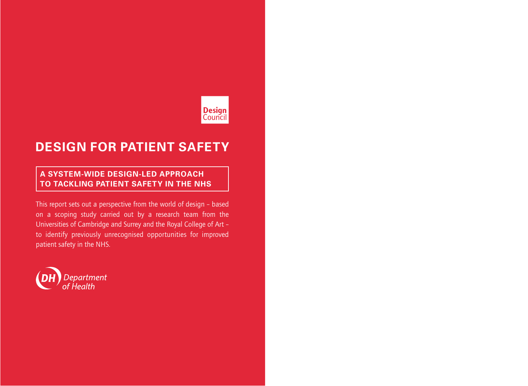# **Design**<br>Council

## **DESIGN FOR PATIENT SAFETY**

## **A SYSTEM-WIDE DESIGN-LED APPROACH TO TACKLING PATIENT SAFETY IN THE NHS**

This report sets out a perspective from the world of design – based on a scoping study carried out by a research team from the Universities of Cambridge and Surrey and the Royal College of Art – to identify previously unrecognised opportunities for improved patient safety in the NHS.

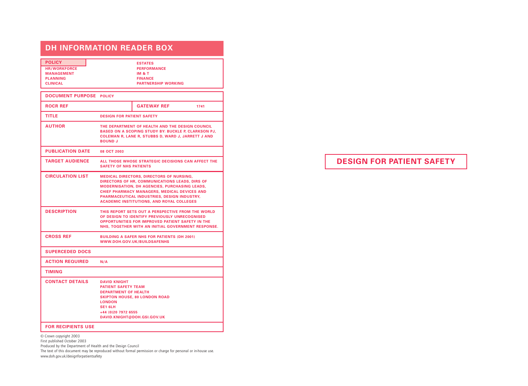## **DH INFORMATION READER BOX**

| <b>POLICY</b>       | <b>ESTATES</b>             |
|---------------------|----------------------------|
| <b>HR/WORKFORCE</b> | <b>PERFORMANCE</b>         |
| <b>MANAGEMENT</b>   | <b>IM &amp; T</b>          |
| <b>PLANNING</b>     | <b>FINANCE</b>             |
| <b>CLINICAL</b>     | <b>PARTNERSHIP WORKING</b> |

| <b>DOCUMENT PURPOSE POLICY</b> |                                                                                                                                                                                                                                                                                                       |                                                                                                                                                                                                                     |      |
|--------------------------------|-------------------------------------------------------------------------------------------------------------------------------------------------------------------------------------------------------------------------------------------------------------------------------------------------------|---------------------------------------------------------------------------------------------------------------------------------------------------------------------------------------------------------------------|------|
| <b>ROCR REF</b>                |                                                                                                                                                                                                                                                                                                       | <b>GATEWAY REF</b>                                                                                                                                                                                                  | 1741 |
| TITLE                          | <b>DESIGN FOR PATIENT SAFETY</b>                                                                                                                                                                                                                                                                      |                                                                                                                                                                                                                     |      |
| <b>AUTHOR</b>                  | THE DEPARTMENT OF HEALTH AND THE DESIGN COUNCIL<br><b>BASED ON A SCOPING STUDY BY: BUCKLE P, CLARKSON PJ,</b><br>COLEMAN R, LANE R, STUBBS D, WARD J, JARRETT J AND<br><b>BOUND J</b>                                                                                                                 |                                                                                                                                                                                                                     |      |
| <b>PUBLICATION DATE</b>        | 08 OCT 2003                                                                                                                                                                                                                                                                                           |                                                                                                                                                                                                                     |      |
| <b>TARGET AUDIENCE</b>         | ALL THOSE WHOSE STRATEGIC DECISIONS CAN AFFECT THE<br><b>SAFETY OF NHS PATIENTS</b>                                                                                                                                                                                                                   |                                                                                                                                                                                                                     |      |
| <b>CIRCULATION LIST</b>        | <b>MEDICAL DIRECTORS, DIRECTORS OF NURSING,</b><br>DIRECTORS OF HR. COMMUNICATIONS LEADS. DIRS OF<br>MODERNISATION, DH AGENCIES, PURCHASING LEADS,<br>CHIEF PHARMACY MANAGERS, MEDICAL DEVICES AND<br>PHARMACEUTICAL INDUSTRIES, DESIGN INDUSTRY,<br><b>ACADEMIC INSTITUTIONS, AND ROYAL COLLEGES</b> |                                                                                                                                                                                                                     |      |
| <b>DESCRIPTION</b>             |                                                                                                                                                                                                                                                                                                       | THIS REPORT SETS OUT A PERSPECTIVE FROM THE WORLD<br>OF DESIGN TO IDENTIFY PREVIOUSLY UNRECOGNISED<br><b>OPPORTUNITIES FOR IMPROVED PATIENT SAFETY IN THE</b><br>NHS. TOGETHER WITH AN INITIAL GOVERNMENT RESPONSE. |      |
| <b>CROSS REF</b>               |                                                                                                                                                                                                                                                                                                       | <b>BUILDING A SAFER NHS FOR PATIENTS (DH 2001)</b><br>WWW.DOH.GOV.UK/BUILDSAFENHS                                                                                                                                   |      |
| <b>SUPERCEDED DOCS</b>         |                                                                                                                                                                                                                                                                                                       |                                                                                                                                                                                                                     |      |
| <b>ACTION REQUIRED</b>         | N/A                                                                                                                                                                                                                                                                                                   |                                                                                                                                                                                                                     |      |
| <b>TIMING</b>                  |                                                                                                                                                                                                                                                                                                       |                                                                                                                                                                                                                     |      |
| <b>CONTACT DETAILS</b>         | <b>DAVID KNIGHT</b><br><b>PATIENT SAFETY TEAM</b><br><b>DEPARTMENT OF HEALTH</b><br><b>LONDON</b><br><b>SE1 6LH</b><br>+44 (0)20 7972 6555                                                                                                                                                            | <b>SKIPTON HOUSE, 80 LONDON ROAD</b><br>DAVID.KNIGHT@DOH.GSI.GOV.UK                                                                                                                                                 |      |
| <b>FOR RECIPIENTS LISE</b>     |                                                                                                                                                                                                                                                                                                       |                                                                                                                                                                                                                     |      |

#### **FOR RECIPIENTS USE**

© Crown copyright 2003

First published October 2003

Produced by the Department of Health and the Design Council

The text of this document may be reproduced without formal permission or charge for personal or in-house use. www.doh.gov.uk /designforpatientsafety

**DESIGN FOR PATIENT SAFETY**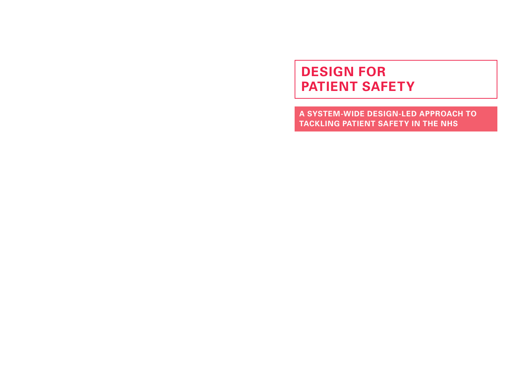## **DESIGN FOR PATIENT SAFETY**

**A SYSTEM-WIDE DESIGN-LED APPROACH TO TACKLING PATIENT SAFETY IN THE NHS**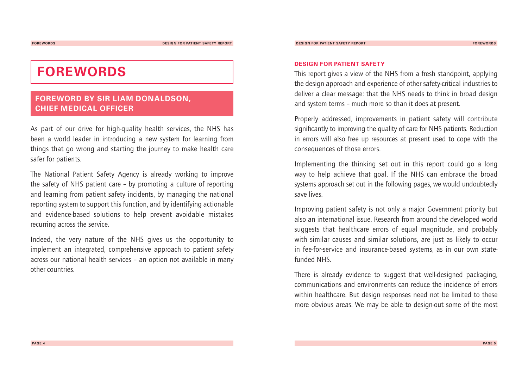## **FOREWORDS**

### **FOREWORD BY SIR LIAM DONALDSON, CHIEF MEDICAL OFFICER**

As part of our drive for high-quality health services, the NHS has been a world leader in introducing a new system for learning from things that go wrong and starting the journey to make health care safer for patients.

The National Patient Safety Agency is already working to improve the safety of NHS patient care – by promoting a culture of reporting and learning from patient safety incidents, by managing the national reporting system to support this function, and by identifying actionable and evidence-based solutions to help prevent avoidable mistakes recurring across the service.

Indeed, the very nature of the NHS gives us the opportunity to implement an integrated, comprehensive approach to patient safety across our national health services – an option not available in many other countries.

#### **DESIGN FOR PATIENT SAFETY**

This report gives a view of the NHS from a fresh standpoint, applying the design approach and experience of other safety-critical industries to deliver a clear message: that the NHS needs to think in broad design and system terms – much more so than it does at present.

Properly addressed, improvements in patient safety will contribute significantly to improving the quality of care for NHS patients. Reduction in errors will also free up resources at present used to cope with the consequences of those errors.

Implementing the thinking set out in this report could go a long way to help achieve that goal. If the NHS can embrace the broad systems approach set out in the following pages, we would undoubtedly save lives.

Improving patient safety is not only a major Government priority but also an international issue. Research from around the developed world suggests that healthcare errors of equal magnitude, and probably with similar causes and similar solutions, are just as likely to occur in fee-for-service and insurance-based systems, as in our own statefunded NHS.

There is already evidence to suggest that well-designed packaging, communications and environments can reduce the incidence of errors within healthcare. But design responses need not be limited to these more obvious areas.We may be able to design-out some of the most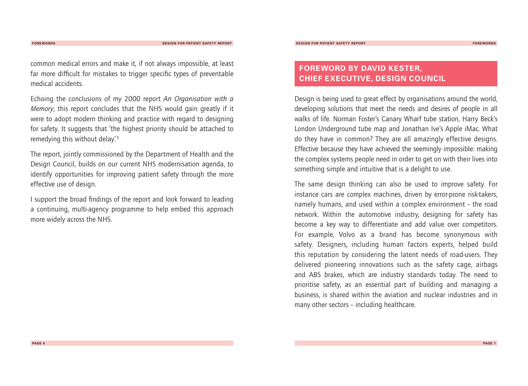common medical errors and make it, if not always impossible, at least far more difficult for mistakes to trigger specific types of preventable medical accidents.

Echoing the conclusions of my 2000 report *An Organisation with a Memory*, this report concludes that the NHS would gain greatly if it were to adopt modern thinking and practice with regard to designing for safety. It suggests that 'the highest priority should be attached to remedying this without delay'. **<sup>1</sup>**

The report, jointly commissioned by the Department of Health and the Design Council, builds on our current NHS modernisation agenda, to identify opportunities for improving patient safety through the more effective use of design.

I support the broad findings of the report and look forward to leading a continuing, multi-agency programme to help embed this approach more widely across the NHS.

## **FOREWORD BY DAVID KESTER, CHIEF EXECUTIVE, DESIGN COUNCIL**

Design is being used to great effect by organisations around the world. developing solutions that meet the needs and desires of people in all walks of life. Norman Foster's Canary Wharf tube station, Harry Beck's London Underground tube map and Jonathan Ive's Apple iMac.What do they have in common? They are all amazingly effective designs. Effective because they have achieved the seemingly impossible: making the complex systems people need in order to get on with their lives into something simple and intuitive that is a delight to use.

The same design thinking can also be used to improve safety. For instance cars are complex machines, driven by error-prone risk-takers, namely humans, and used within a complex environment – the road network.Within the automotive industry, designing for safety has become a key way to differentiate and add value over competitors. For example, Volvo as a brand has become synonymous with safety. Designers, including human factors experts, helped build this reputation by considering the latent needs of road-users.They delivered pioneering innovations such as the safety cage, airbags and ABS brakes, which are industry standards today.The need to prioritise safety, as an essential part of building and managing a business, is shared within the aviation and nuclear industries and in many other sectors – including healthcare.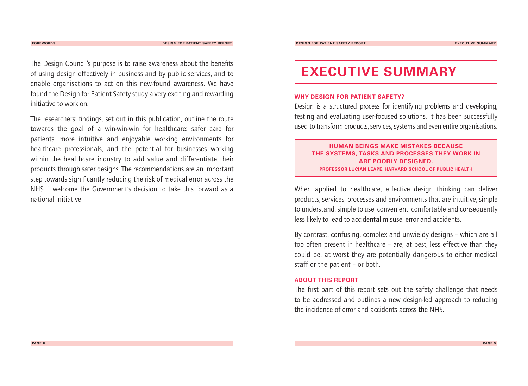**FOREWORDS DESIGN FOR PATIENT SAFETY REPORT**

The Design Council's purpose is to raise awareness about the benefits of using design effectively in business and by public services, and to enable organisations to act on this new-found awareness.We have found the Design for Patient Safety study a very exciting and rewarding initiative to work on.

The researchers' findings, set out in this publication, outline the route towards the goal of a win-win-win for healthcare: safer care for patients, more intuitive and enjoyable working environments for healthcare professionals, and the potential for businesses working within the healthcare industry to add value and differentiate their products through safer designs.The recommendations are an important step towards significantly reducing the risk of medical error across the NHS. I welcome the Government's decision to take this forward as a national initiative.

## **EXECUTIVE SUMMARY**

#### **WHY DESIGN FOR PATIENT SAFETY?**

Design is a structured process for identifying problems and developing, testing and evaluating user-focused solutions. It has been successfully used to transform products, services, systems and even entire organisations.

**HUMAN BEINGS MAKE MISTAKES BECAUSE THE SYSTEMS, TASKS AND PROCESSES THEY WORK IN ARE POORLY DESIGNED. PROFESSOR LUCIAN LEAPE, HARVARD SCHOOL OF PUBLIC HEALTH**

When applied to healthcare, effective design thinking can deliver products, services, processes and environments that are intuitive, simple to understand, simple to use, convenient, comfortable and consequently less likely to lead to accidental misuse, error and accidents.

By contrast, confusing, complex and unwieldy designs – which are all too often present in healthcare – are, at best, less effective than they could be, at worst they are potentially dangerous to either medical staff or the patient – or both.

#### **ABOUT THIS REPORT**

The first part of this report sets out the safety challenge that needs to be addressed and outlines a new design-led approach to reducing the incidence of error and accidents across the NHS.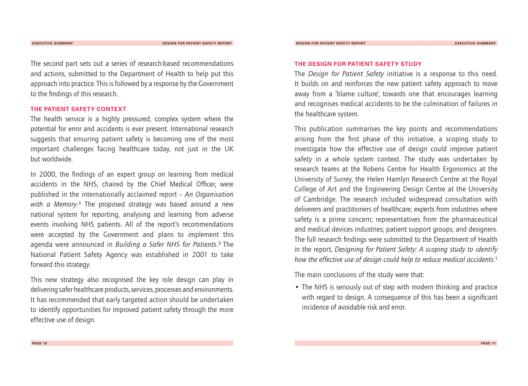The second part sets out a series of research-based recommendations and actions, submitted to the Department of Health to help put this approach into practice.This is followed by a response by the Government to the findings of this research.

#### **THE PATIENT SAFETY CONTEXT**

The health service is a highly pressured, complex system where the potential for error and accidents is ever present. International research suggests that ensuring patient safety is becoming one of the most important challenges facing healthcare today, not just in the UK but worldwide.

In 2000, the findings of an expert group on learning from medical accidents in the NHS, chaired by the Chief Medical Officer, were published in the internationally acclaimed report – *An Organisation with a Memory*. **<sup>2</sup>** The proposed strategy was based around a new national system for reporting, analysing and learning from adverse events involving NHS patients. All of the report's recommendations were accepted by the Government and plans to implement this agenda were announced in *Building a Safer NHS for Patients*. **<sup>3</sup>** The National Patient Safety Agency was established in 2001 to take forward this strategy.

This new strategy also recognised the key role design can play in delivering safer healthcare products, services, processes and environments. It has recommended that early targeted action should be undertaken to identify opportunities for improved patient safety through the more effective use of design.

#### **THE DESIGN FOR PATIENT SAFETY STUDY**

The *Design for Patient Safety* initiative is a response to this need. It builds on and reinforces the new patient safety approach to move away from a 'blame culture', towards one that encourages learning and recognises medical accidents to be the culmination of failures in the healthcare system.

This publication summarises the key points and recommendations arising from the first phase of this initiative, a scoping study to investigate how the effective use of design could improve patient safety in a whole system context. The study was undertaken by research teams at the Robens Centre for Health Ergonomics at the University of Surrey, the Helen Hamlyn Research Centre at the Royal College of Art and the Engineering Design Centre at the University of Cambridge.The research included widespread consultation with deliverers and practitioners of healthcare; experts from industries where safety is a prime concern; representatives from the pharmaceutical and medical devices industries; patient support groups; and designers. The full research findings were submitted to the Department of Health in the report, *Designing for Patient Safety: A scoping study to identify how the effective use of design could help to reduce medical accidents*. **1**

The main conclusions of the study were that:

• The NHS is seriously out of step with modern thinking and practice with regard to design. A consequence of this has been a significant incidence of avoidable risk and error.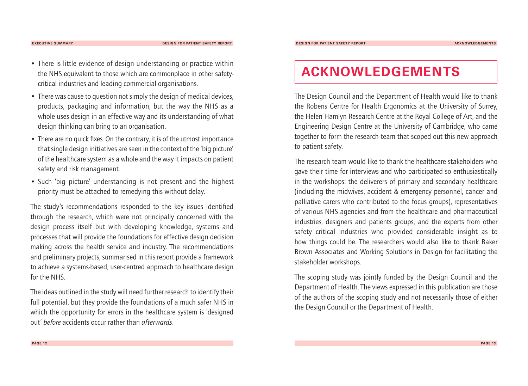**EXECUTIVE SUMMARY DESIGN FOR PATIENT SAFETY REPORT**

- There is little evidence of design understanding or practice within the NHS equivalent to those which are commonplace in other safetycritical industries and leading commercial organisations.
- There was cause to question not simply the design of medical devices, products, packaging and information, but the way the NHS as a whole uses design in an effective way and its understanding of what design thinking can bring to an organisation.
- There are no quick fixes. On the contrary, it is of the utmost importance that single design initiatives are seen in the context of the 'big picture' of the healthcare system as a whole and the way it impacts on patient safety and risk management.
- Such 'big picture' understanding is not present and the highest priority must be attached to remedying this without delay.

The study's recommendations responded to the key issues identified through the research, which were not principally concerned with the design process itself but with developing knowledge, systems and processes that will provide the foundations for effective design decision making across the health service and industry.The recommendations and preliminary projects, summarised in this report provide a framework to achieve a systems-based, user-centred approach to healthcare design for the NHS.

The ideas outlined in the study will need further research to identify their full potential, but they provide the foundations of a much safer NHS in which the opportunity for errors in the healthcare system is 'designed out' *before* accidents occur rather than *afterwards*.

## **ACKNOWLEDGEMENTS**

The Design Council and the Department of Health would like to thank the Robens Centre for Health Ergonomics at the University of Surrey, the Helen Hamlyn Research Centre at the Royal College of Art, and the Engineering Design Centre at the University of Cambridge, who came together to form the research team that scoped out this new approach to patient safety.

The research team would like to thank the healthcare stakeholders who gave their time for interviews and who participated so enthusiastically in the workshops: the deliverers of primary and secondary healthcare (including the midwives, accident & emergency personnel, cancer and palliative carers who contributed to the focus groups), representatives of various NHS agencies and from the healthcare and pharmaceutical industries, designers and patients groups, and the experts from other safety critical industries who provided considerable insight as to how things could be.The researchers would also like to thank Baker Brown Associates and Working Solutions in Design for facilitating the stakeholder workshops.

The scoping study was jointly funded by the Design Council and the Department of Health.The views expressed in this publication are those of the authors of the scoping study and not necessarily those of either the Design Council or the Department of Health.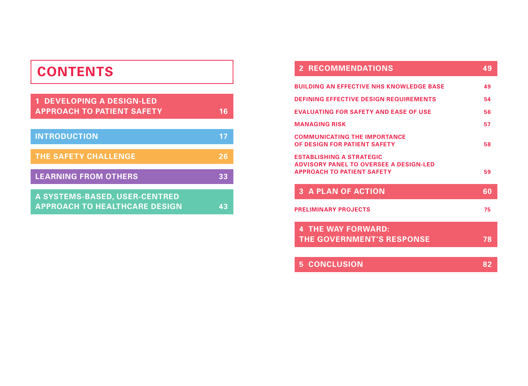## **CONTENTS**

| <b>1 DEVELOPING A DESIGN-LED</b><br><b>APPROACH TO PATIENT SAFETY</b> | 16 |
|-----------------------------------------------------------------------|----|
| <b>INTRODUCTION</b>                                                   | 17 |
| THE SAFETY CHALLENGE                                                  | 26 |
| <b>LEARNING FROM OTHERS</b>                                           | 33 |
| A SYSTEMS-BASED, USER-CENTRED<br><b>APPROACH TO HEALTHCARE DESIGN</b> | 43 |

| <b>2 RECOMMENDATIONS</b>                                                                                              | 49              |
|-----------------------------------------------------------------------------------------------------------------------|-----------------|
| <b>BUILDING AN EFFECTIVE NHS KNOWLEDGE BASE</b>                                                                       | 49              |
| <b>DEFINING EFFECTIVE DESIGN REQUIREMENTS</b>                                                                         | 54              |
| <b>EVALUATING FOR SAFETY AND EASE OF USE</b>                                                                          | 56              |
| <b>MANAGING RISK</b>                                                                                                  | 57              |
| <b>COMMUNICATING THE IMPORTANCE</b><br>OF DESIGN FOR PATIENT SAFETY                                                   | 58              |
| <b>ESTABLISHING A STRATEGIC</b><br><b>ADVISORY PANEL TO OVERSEE A DESIGN-LED</b><br><b>APPROACH TO PATIENT SAFETY</b> | 59              |
| <b>3 A PLAN OF ACTION</b>                                                                                             | 60              |
| <b>PRELIMINARY PROJECTS</b>                                                                                           | 75              |
| <b>4 THE WAY FORWARD:</b><br><b>THE GOVERNMENT'S RESPONSE</b>                                                         | 78              |
| <b>5 CONCLUSION</b>                                                                                                   | $8\overline{2}$ |
|                                                                                                                       |                 |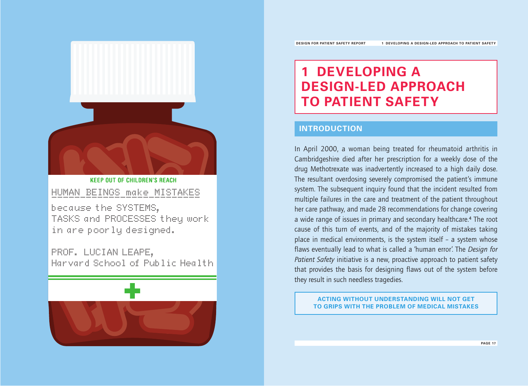## **1 DEVELOPING A DESIGN-LED APPROACH TO PATIENT SAFETY**

### **INTRODUCTION**

In April 2000, a woman being treated for rheumatoid arthritis in Cambridgeshire died after her prescription for a weekly dose of the drug Methotrexate was inadvertently increased to a high daily dose. The resultant overdosing severely compromised the patient's immune system.The subsequent inquiry found that the incident resulted from multiple failures in the care and treatment of the patient throughout her care pathway, and made 28 recommendations for change covering a wide range of issues in primary and secondary healthcare.**<sup>4</sup>** The root cause of this turn of events, and of the majority of mistakes taking place in medical environments, is the system itself – a system whose flaws eventually lead to what is called a 'human error'.The *Design for Patient Safety* initiative is a new, proactive approach to patient safety that provides the basis for designing flaws out of the system before they result in such needless tragedies.

**ACTING WITHOUT UNDERSTANDING WILL NOT GET TO GRIPS WITH THE PROBLEM OF MEDICAL MISTAKES**



**KEEP OUT OF CHILDREN'S REACH** HUMAN BEINGS make MISTAKES

because the SYSTEMS, TASKS and PROCESSES they work in are poorly designed.

PROF. LUCIAN LEAPE, Harvard School of Public Health

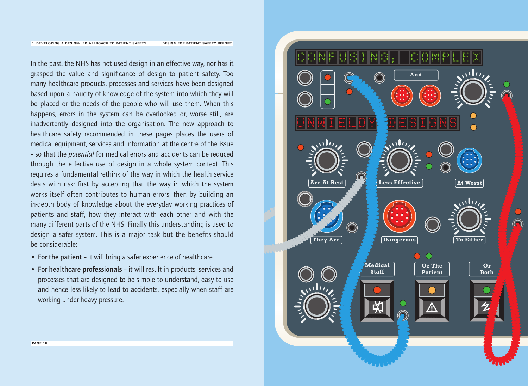#### **DESIGN FOR PATIENT SAFETY REPORT 1 DEVELOPING A DESIGN-LED APPROACH TO PATIENT SAFETY**

In the past, the NHS has not used design in an effective way, nor has it grasped the value and significance of design to patient safety.Too many healthcare products, processes and services have been designed based upon a paucity of knowledge of the system into which they will be placed or the needs of the people who will use them.When this happens, errors in the system can be overlooked or, worse still, are inadvertently designed into the organisation. The new approach to healthcare safety recommended in these pages places the users of medical equipment, services and information at the centre of the issue – so that the *potential* for medical errors and accidents can be reduced through the effective use of design in a whole system context.This requires a fundamental rethink of the way in which the health service deals with risk: first by accepting that the way in which the system works itself often contributes to human errors, then by building an in-depth body of knowledge about the everyday working practices of patients and staff, how they interact with each other and with the many different parts of the NHS. Finally this understanding is used to design a safer system.This is a major task but the benefits should be considerable:

- **For the patient** it will bring a safer experience of healthcare.
- **For healthcare professionals** it will result in products, services and processes that are designed to be simple to understand, easy to use and hence less likely to lead to accidents, especially when staff are working under heavy pressure.

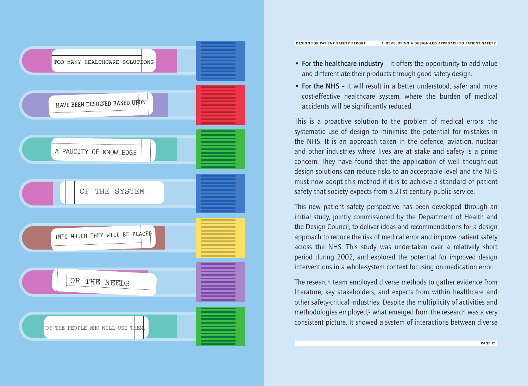

- **For the healthcare industry** it offers the opportunity to add value and differentiate their products through good safety design.
- **For the NHS** it will result in a better understood, safer and more cost-effective healthcare system, where the burden of medical accidents will be significantly reduced.

This is a proactive solution to the problem of medical errors: the systematic use of design to minimise the potential for mistakes in the NHS. It is an approach taken in the defence, aviation, nuclear and other industries where lives are at stake and safety is a prime concern.They have found that the application of well thought-out design solutions can reduce risks to an acceptable level and the NHS must now adopt this method if it is to achieve a standard of patient safety that society expects from a 21st century public service.

This new patient safety perspective has been developed through an initial study, jointly commissioned by the Department of Health and the Design Council, to deliver ideas and recommendations for a design approach to reduce the risk of medical error and improve patient safety across the NHS. This study was undertaken over a relatively short period during 2002, and explored the potential for improved design interventions in a whole-system context focusing on medication error.

The research team employed diverse methods to gather evidence from literature, key stakeholders, and experts from within healthcare and other safety-critical industries. Despite the multiplicity of activities and methodologies employed,**<sup>5</sup>** what emerged from the research was a very consistent picture. It showed a system of interactions between diverse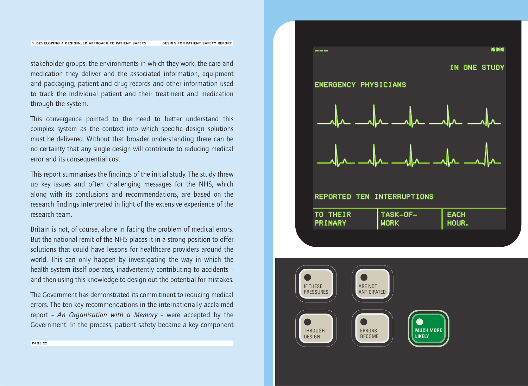#### **DESIGN FOR PATIENT SAFETY REPORT** --- **1 DEVELOPING A DESIGN-LED APPROACH TO PATIENT SAFETY**

stakeholder groups, the environments in which they work, the care and medication they deliver and the associated information, equipment and packaging, patient and drug records and other information used to track the individual patient and their treatment and medication through the system.

This convergence pointed to the need to better understand this complex system as the context into which specific design solutions must be delivered.Without that broader understanding there can be no certainty that any single design will contribute to reducing medical error and its consequential cost.

This report summarises the findings of the initial study.The study threw up key issues and often challenging messages for the NHS, which along with its conclusions and recommendations, are based on the research findings interpreted in light of the extensive experience of the research team.

Britain is not, of course, alone in facing the problem of medical errors. But the national remit of the NHS places it in a strong position to offer solutions that could have lessons for healthcare providers around the world.This can only happen by investigating the way in which the health system itself operates, inadvertently contributing to accidents – and then using this knowledge to design out the potential for mistakes.

The Government has demonstrated its commitment to reducing medical errors.The ten key recommendations in the internationally acclaimed report – *An Organisation with a Memory* – were accepted by the Government. In the process, patient safety became a key component



#### TO THEIR TASK-OF-EACH

| PRIMARY | .<br><b>NORK</b> | <b>HOUR.</b> |
|---------|------------------|--------------|
|         |                  |              |

--- \*\*\*

IN ONE STUDY



EMERGENCY PHYSICIANS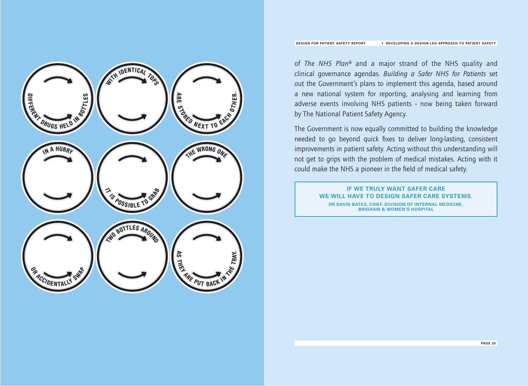

of *The NHS Plan***<sup>6</sup>** and a major strand of the NHS quality and clinical governance agendas. *Building a Safer NHS for Patients* set out the Government's plans to implement this agenda, based around a new national system for reporting, analysing and learning from adverse events involving NHS patients – now being taken forward by The National Patient Safety Agency.

The Government is now equally committed to building the knowledge needed to go beyond quick fixes to deliver long-lasting, consistent improvements in patient safety. Acting without this understanding will not get to grips with the problem of medical mistakes. Acting with it could make the NHS a pioneer in the field of medical safety.

> **IF WE TRULY WANT SAFER CARE WE WILL HAVE TO DESIGN SAFER CARE SYSTEMS. DR DAVID BATES, CHIEF, DIVISION OF INTERNAL MEDICINE, BRIGHAM & WOMEN'S HOSPITAL**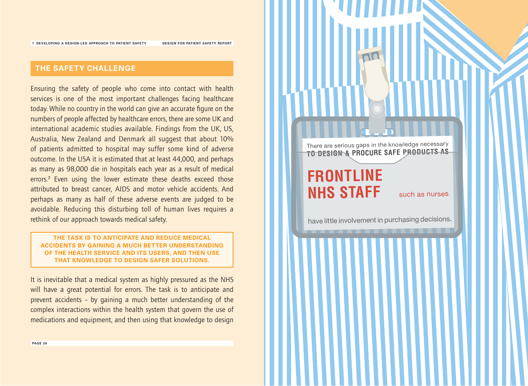**DESIGN FOR PATIENT SAFETY REPORT**

## **THE SAFETY CHALLENGE**

Ensuring the safety of people who come into contact with health services is one of the most important challenges facing healthcare today.While no country in the world can give an accurate figure on the numbers of people affected by healthcare errors, there are some UK and international academic studies available. Findings from the UK, US, Australia, New Zealand and Denmark all suggest that about 10% of patients admitted to hospital may suffer some kind of adverse outcome. In the USA it is estimated that at least 44,000, and perhaps as many as 98,000 die in hospitals each year as a result of medical errors.**<sup>7</sup>** Even using the lower estimate these deaths exceed those attributed to breast cancer, AIDS and motor vehicle accidents.And perhaps as many as half of these adverse events are judged to be avoidable. Reducing this disturbing toll of human lives requires a rethink of our approach towards medical safety.

#### **THE TASK IS TO ANTICIPATE AND REDUCE MEDICAL ACCIDENTS BY GAINING A MUCH BETTER UNDERSTANDING OF THE HEALTH SERVICE AND ITS USERS, AND THEN USE THAT KNOWLEDGE TO DESIGN SAFER SOLUTIONS.**

It is inevitable that a medical system as highly pressured as the NHS will have a great potential for errors. The task is to anticipate and prevent accidents – by gaining a much better understanding of the complex interactions within the health system that govern the use of medications and equipment, and then using that knowledge to design

There are serious gaps in the knowledge necessary **TO DESIGN & PROCURE SAFE PRODUCTS AS**

## **FRONTLINE NHS STAFF** such as nurses

have little involvement in purchasing decisions.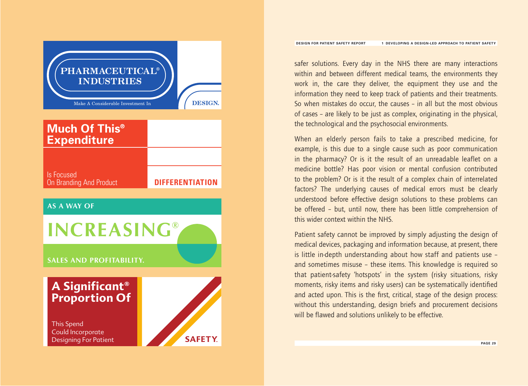Make A Considerable Investment In **DESIGN. PHARMACEUTICAL® INDUSTRIES DIFFERENTIATION** Is Focused On Branding And Product **Much Of This® Expenditure AS A WAY OF SALES AND PROFITABILITY. INCREASING® SAFETY**. This Spend Could Incorporate Designing For Patient **A Significant® Proportion Of**

safer solutions. Every day in the NHS there are many interactions within and between different medical teams, the environments they work in, the care they deliver, the equipment they use and the information they need to keep track of patients and their treatments. So when mistakes do occur, the causes – in all but the most obvious of cases – are likely to be just as complex, originating in the physical, the technological and the psychosocial environments.

When an elderly person fails to take a prescribed medicine, for example, is this due to a single cause such as poor communication in the pharmacy? Or is it the result of an unreadable leaflet on a medicine bottle? Has poor vision or mental confusion contributed to the problem? Or is it the result of a complex chain of interrelated factors? The underlying causes of medical errors must be clearly understood before effective design solutions to these problems can be offered – but, until now, there has been little comprehension of this wider context within the NHS.

Patient safety cannot be improved by simply adjusting the design of medical devices, packaging and information because, at present, there is little in-depth understanding about how staff and patients use – and sometimes misuse – these items.This knowledge is required so that patient-safety 'hotspots' in the system (risky situations, risky moments, risky items and risky users) can be systematically identified and acted upon.This is the first, critical, stage of the design process: without this understanding, design briefs and procurement decisions will be flawed and solutions unlikely to be effective.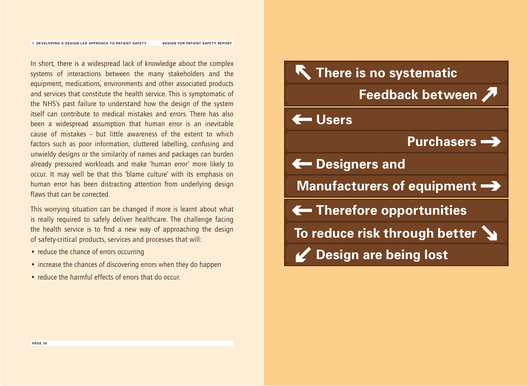In short, there is a widespread lack of knowledge about the complex systems of interactions between the many stakeholders and the equipment, medications, environments and other associated products and services that constitute the health service.This is symptomatic of the NHS's past failure to understand how the design of the system itself can contribute to medical mistakes and errors.There has also been a widespread assumption that human error is an inevitable cause of mistakes – but little awareness of the extent to which factors such as poor information, cluttered labelling, confusing and unwieldy designs or the similarity of names and packages can burden already pressured workloads and make 'human error' more likely to occur. It may well be that this 'blame culture' with its emphasis on human error has been distracting attention from underlying design flaws that can be corrected.

This worrying situation can be changed if more is learnt about what is really required to safely deliver healthcare. The challenge facing the health service is to find a new way of approaching the design of safety-critical products, services and processes that will:

- reduce the chance of errors occurring
- increase the chances of discovering errors when they do happen
- reduce the harmful effects of errors that do occur.

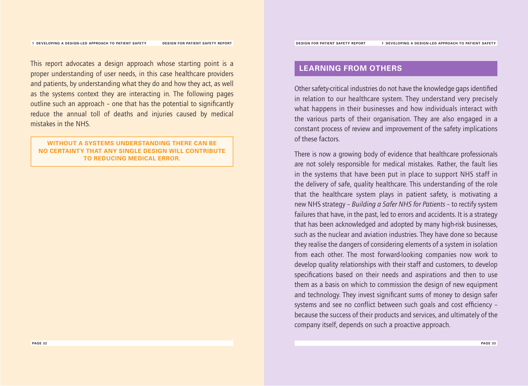This report advocates a design approach whose starting point is a proper understanding of user needs, in this case healthcare providers and patients, by understanding what they do and how they act, as well as the systems context they are interacting in.The following pages outline such an approach – one that has the potential to significantly reduce the annual toll of deaths and injuries caused by medical mistakes in the NHS.

#### **WITHOUT A SYSTEMS UNDERSTANDING THERE CAN BE NO CERTAINTY THAT ANY SINGLE DESIGN WILL CONTRIBUTE TO REDUCING MEDICAL ERROR.**

### **LEARNING FROM OTHERS**

Other safety-critical industries do not have the knowledge gaps identified in relation to our healthcare system.They understand very precisely what happens in their businesses and how individuals interact with the various parts of their organisation.They are also engaged in a constant process of review and improvement of the safety implications of these factors.

There is now a growing body of evidence that healthcare professionals are not solely responsible for medical mistakes. Rather, the fault lies in the systems that have been put in place to support NHS staff in the delivery of safe, quality healthcare.This understanding of the role that the healthcare system plays in patient safety, is motivating a new NHS strategy – *Building a Safer NHS for Patients* – to rectify system failures that have, in the past, led to errors and accidents. It is a strategy that has been acknowledged and adopted by many high-risk businesses, such as the nuclear and aviation industries.They have done so because they realise the dangers of considering elements of a system in isolation from each other. The most forward-looking companies now work to develop quality relationships with their staff and customers, to develop specifications based on their needs and aspirations and then to use them as a basis on which to commission the design of new equipment and technology.They invest significant sums of money to design safer systems and see no conflict between such goals and cost efficiency – because the success of their products and services, and ultimately of the company itself, depends on such a proactive approach.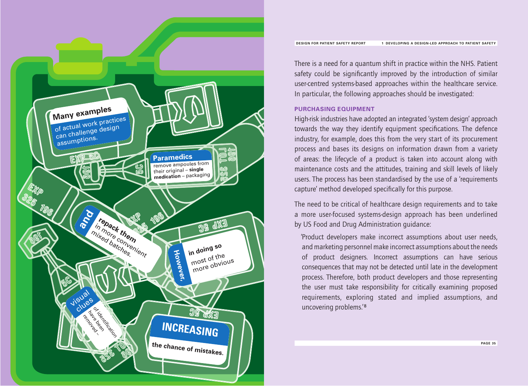

There is a need for a quantum shift in practice within the NHS. Patient safety could be significantly improved by the introduction of similar user-centred systems-based approaches within the healthcare service. In particular, the following approaches should be investigated:

#### **PURCHASING EQUIPMENT**

High-risk industries have adopted an integrated 'system design' approach towards the way they identify equipment specifications. The defence industry, for example, does this from the very start of its procurement process and bases its designs on information drawn from a variety of areas: the lifecycle of a product is taken into account along with maintenance costs and the attitudes, training and skill levels of likely users.The process has been standardised by the use of a 'requirements capture' method developed specifically for this purpose.

The need to be critical of healthcare design requirements and to take a more user-focused systems-design approach has been underlined by US Food and Drug Administration guidance:

'Product developers make incorrect assumptions about user needs, and marketing personnel make incorrect assumptions about the needs of product designers. Incorrect assumptions can have serious consequences that may not be detected until late in the development process.Therefore, both product developers and those representing the user must take responsibility for critically examining proposed requirements, exploring stated and implied assumptions, and uncovering problems.'**<sup>8</sup>**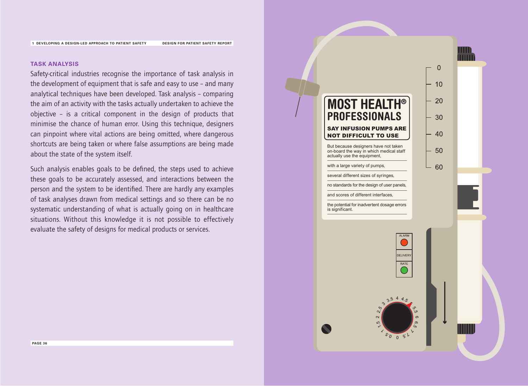**DESIGN FOR PATIENT SAFETY REPORT**

#### **TASK ANALYSIS**

Safety-critical industries recognise the importance of task analysis in the development of equipment that is safe and easy to use – and many analytical techniques have been developed.Task analysis – comparing the aim of an activity with the tasks actually undertaken to achieve the objective – is a critical component in the design of products that minimise the chance of human error. Using this technique, designers can pinpoint where vital actions are being omitted, where dangerous shortcuts are being taken or where false assumptions are being made about the state of the system itself.

Such analysis enables goals to be defined, the steps used to achieve these goals to be accurately assessed, and interactions between the person and the system to be identified.There are hardly any examples of task analyses drawn from medical settings and so there can be no systematic understanding of what is actually going on in healthcare situations. Without this knowledge it is not possible to effectively evaluate the safety of designs for medical products or services.

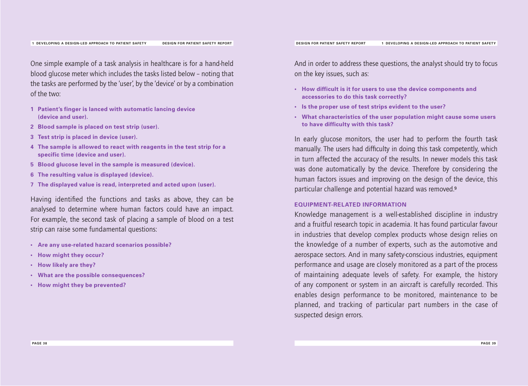One simple example of a task analysis in healthcare is for a hand-held blood glucose meter which includes the tasks listed below – noting that the tasks are performed by the 'user', by the 'device' or by a combination of the two:

- **1 Patient's finger is lanced with automatic lancing device (device and user).**
- **2 Blood sample is placed on test strip (user).**
- **3 Test strip is placed in device (user).**
- **4 The sample is allowed to react with reagents in the test strip for a specific time (device and user).**
- **5 Blood glucose level in the sample is measured (device).**
- **6 The resulting value is displayed (device).**
- **7 The displayed value is read, interpreted and acted upon (user).**

Having identified the functions and tasks as above, they can be analysed to determine where human factors could have an impact. For example, the second task of placing a sample of blood on a test strip can raise some fundamental questions:

- **Are any use-related hazard scenarios possible?**
- **How might they occur?**
- **How likely are they?**
- **What are the possible consequences?**
- **How might they be prevented?**

**• How difficult is it for users to use the device components and**

**accessories to do this task correctly? • Is the proper use of test strips evident to the user?**

on the key issues, such as:

**• What characteristics of the user population might cause some users to have difficulty with this task?**

In early glucose monitors, the user had to perform the fourth task manually.The users had difficulty in doing this task competently, which in turn affected the accuracy of the results. In newer models this task was done automatically by the device. Therefore by considering the human factors issues and improving on the design of the device, this particular challenge and potential hazard was removed.**<sup>9</sup>**

#### **EQUIPMENT-RELATED INFORMATION**

Knowledge management is a well-established discipline in industry and a fruitful research topic in academia. It has found particular favour in industries that develop complex products whose design relies on the knowledge of a number of experts, such as the automotive and aerospace sectors. And in many safety-conscious industries, equipment performance and usage are closely monitored as a part of the process of maintaining adequate levels of safety. For example, the history of any component or system in an aircraft is carefully recorded.This enables design performance to be monitored, maintenance to be planned, and tracking of particular part numbers in the case of suspected design errors.

And in order to address these questions, the analyst should try to focus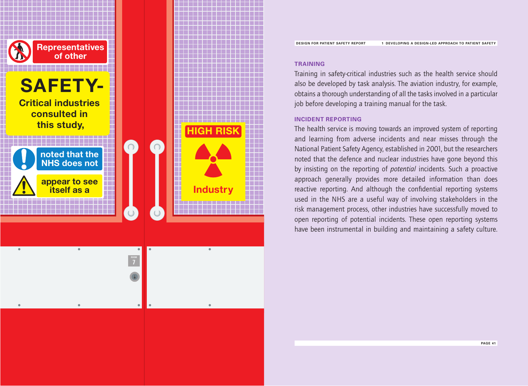

#### **TRAINING**

Training in safety-critical industries such as the health service should also be developed by task analysis.The aviation industry, for example, obtains a thorough understanding of all the tasks involved in a particular job before developing a training manual for the task.

#### **INCIDENT REPORTING**

The health service is moving towards an improved system of reporting and learning from adverse incidents and near misses through the National Patient Safety Agency, established in 2001, but the researchers noted that the defence and nuclear industries have gone beyond this by insisting on the reporting of *potential* incidents. Such a proactive approach generally provides more detailed information than does reactive reporting. And although the confidential reporting systems used in the NHS are a useful way of involving stakeholders in the risk management process, other industries have successfully moved to open reporting of potential incidents.These open reporting systems have been instrumental in building and maintaining a safety culture.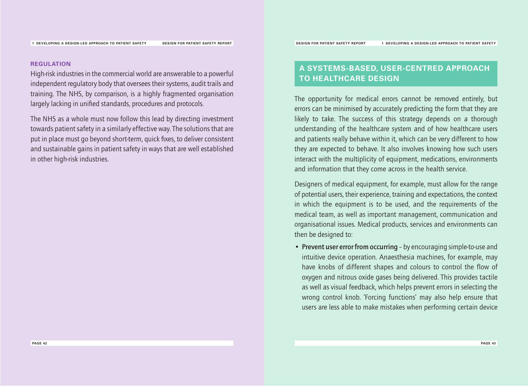**REGULATION**

High-risk industries in the commercial world are answerable to a powerful independent regulatory body that oversees their systems, audit trails and training.The NHS, by comparison, is a highly fragmented organisation largely lacking in unified standards, procedures and protocols.

The NHS as a whole must now follow this lead by directing investment towards patient safety in a similarly effective way.The solutions that are put in place must go beyond short-term, quick fixes, to deliver consistent and sustainable gains in patient safety in ways that are well established in other high-risk industries.

## **A SYSTEMS-BASED, USER-CENTRED APPROACH TO HEALTHCARE DESIGN**

The opportunity for medical errors cannot be removed entirely, but errors can be minimised by accurately predicting the form that they are likely to take. The success of this strategy depends on a thorough understanding of the healthcare system and of how healthcare users and patients really behave within it, which can be very different to how they are expected to behave. It also involves knowing how such users interact with the multiplicity of equipment, medications, environments and information that they come across in the health service.

Designers of medical equipment, for example, must allow for the range of potential users, their experience, training and expectations, the context in which the equipment is to be used, and the requirements of the medical team, as well as important management, communication and organisational issues. Medical products, services and environments can then be designed to:

• **Prevent user error from occurring** – by encouraging simple-to-use and intuitive device operation. Anaesthesia machines, for example, may have knobs of different shapes and colours to control the flow of oxygen and nitrous oxide gases being delivered.This provides tactile as well as visual feedback, which helps prevent errors in selecting the wrong control knob.'Forcing functions' may also help ensure that users are less able to make mistakes when performing certain device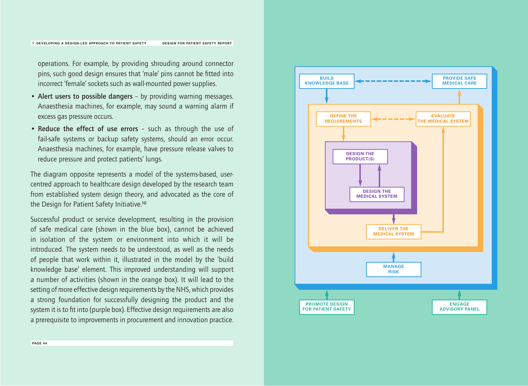operations. For example, by providing shrouding around connector pins, such good design ensures that 'male' pins cannot be fitted into incorrect 'female' sockets such as wall-mounted power supplies.

- **Alert users to possible dangers** by providing warning messages. Anaesthesia machines, for example, may sound a warning alarm if excess gas pressure occurs.
- **Reduce the effect of use errors** such as through the use of fail-safe systems or backup safety systems, should an error occur. Anaesthesia machines, for example, have pressure release valves to reduce pressure and protect patients' lungs.

The diagram opposite represents a model of the systems-based, usercentred approach to healthcare design developed by the research team from established system design theory, and advocated as the core of the Design for Patient Safety Initiative.**<sup>10</sup>**

Successful product or service development, resulting in the provision of safe medical care (shown in the blue box), cannot be achieved in isolation of the system or environment into which it will be introduced. The system needs to be understood, as well as the needs of people that work within it, illustrated in the model by the 'build knowledge base' element. This improved understanding will support a number of activities (shown in the orange box). It will lead to the setting of more effective design requirements by the NHS, which provides a strong foundation for successfully designing the product and the system it is to fit into (purple box). Effective design requirements are also a prerequisite to improvements in procurement and innovation practice.

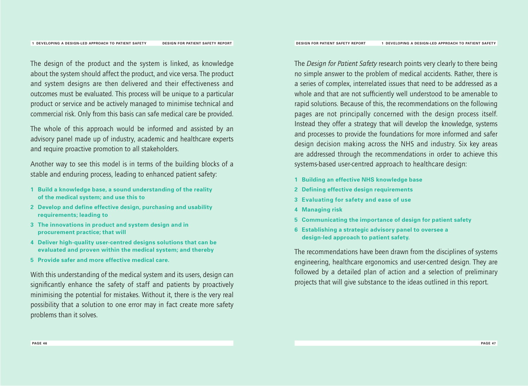The design of the product and the system is linked, as knowledge about the system should affect the product, and vice versa.The product and system designs are then delivered and their effectiveness and outcomes must be evaluated. This process will be unique to a particular product or service and be actively managed to minimise technical and commercial risk. Only from this basis can safe medical care be provided.

The whole of this approach would be informed and assisted by an advisory panel made up of industry, academic and healthcare experts and require proactive promotion to all stakeholders.

Another way to see this model is in terms of the building blocks of a stable and enduring process, leading to enhanced patient safety:

- **1 Build a knowledge base, a sound understanding of the reality of the medical system; and use this to**
- **2 Develop and define effective design, purchasing and usability requirements; leading to**
- **3 The innovations in product and system design and in procurement practice; that will**
- **4 Deliver high-quality user-centred designs solutions that can be evaluated and proven within the medical system; and thereby**
- **5 Provide safer and more effective medical care.**

With this understanding of the medical system and its users, design can significantly enhance the safety of staff and patients by proactively minimising the potential for mistakes.Without it, there is the very real possibility that a solution to one error may in fact create more safety problems than it solves.

The *Design for Patient Safety* research points very clearly to there being no simple answer to the problem of medical accidents. Rather, there is a series of complex, interrelated issues that need to be addressed as a whole and that are not sufficiently well understood to be amenable to rapid solutions. Because of this, the recommendations on the following pages are not principally concerned with the design process itself. Instead they offer a strategy that will develop the knowledge, systems and processes to provide the foundations for more informed and safer design decision making across the NHS and industry. Six key areas are addressed through the recommendations in order to achieve this systems-based user-centred approach to healthcare design:

- **1 Building an effective NHS knowledge base**
- **2 Defining effective design requirements**
- **3 Evaluating for safety and ease of use**
- **4 Managing risk**
- **5 Communicating the importance of design for patient safety**
- **6 Establishing a strategic advisory panel to oversee a design-led approach to patient safety.**

The recommendations have been drawn from the disciplines of systems engineering, healthcare ergonomics and user-centred design.They are followed by a detailed plan of action and a selection of preliminary projects that will give substance to the ideas outlined in this report.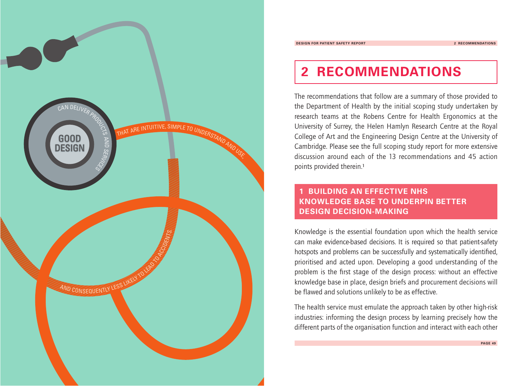

## **2 RECOMMENDATIONS**

The recommendations that follow are a summary of those provided to the Department of Health by the initial scoping study undertaken by research teams at the Robens Centre for Health Ergonomics at the University of Surrey, the Helen Hamlyn Research Centre at the Royal College of Art and the Engineering Design Centre at the University of Cambridge. Please see the full scoping study report for more extensive discussion around each of the 13 recommendations and 45 action points provided therein.**<sup>1</sup>**

## **1 BUILDING AN EFFECTIVE NHS KNOWLEDGE BASE TO UNDERPIN BETTER DESIGN DECISION-MAKING**

Knowledge is the essential foundation upon which the health service can make evidence-based decisions. It is required so that patient-safety hotspots and problems can be successfully and systematically identified, prioritised and acted upon. Developing a good understanding of the problem is the first stage of the design process: without an effective knowledge base in place, design briefs and procurement decisions will be flawed and solutions unlikely to be as effective.

The health service must emulate the approach taken by other high-risk industries: informing the design process by learning precisely how the different parts of the organisation function and interact with each other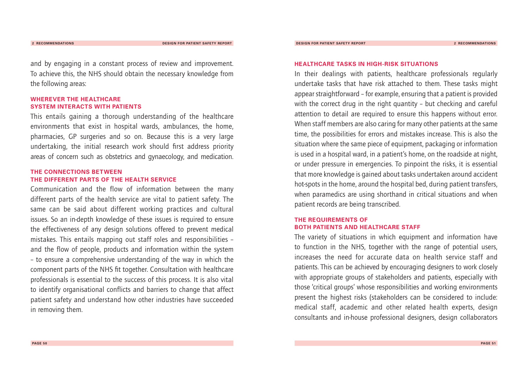and by engaging in a constant process of review and improvement. To achieve this, the NHS should obtain the necessary knowledge from the following areas:

#### **WHEREVER THE HEALTHCARE SYSTEM INTERACTS WITH PATIENTS**

This entails gaining a thorough understanding of the healthcare environments that exist in hospital wards, ambulances, the home, pharmacies, GP surgeries and so on. Because this is a very large undertaking, the initial research work should first address priority areas of concern such as obstetrics and gynaecology, and medication.

#### **THE CONNECTIONS BETWEEN THE DIFFERENT PARTS OF THE HEALTH SERVICE**

Communication and the flow of information between the many different parts of the health service are vital to patient safety.The same can be said about different working practices and cultural issues. So an in-depth knowledge of these issues is required to ensure the effectiveness of any design solutions offered to prevent medical mistakes.This entails mapping out staff roles and responsibilities – and the flow of people, products and information within the system – to ensure a comprehensive understanding of the way in which the component parts of the NHS fit together. Consultation with healthcare professionals is essential to the success of this process. It is also vital to identify organisational conflicts and barriers to change that affect patient safety and understand how other industries have succeeded in removing them.

#### **HEALTHCARE TASKS IN HIGH-RISK SITUATIONS**

In their dealings with patients, healthcare professionals regularly undertake tasks that have risk attached to them.These tasks might appear straightforward – for example, ensuring that a patient is provided with the correct drug in the right quantity – but checking and careful attention to detail are required to ensure this happens without error. When staff members are also caring for many other patients at the same time, the possibilities for errors and mistakes increase.This is also the situation where the same piece of equipment, packaging or information is used in a hospital ward, in a patient's home, on the roadside at night, or under pressure in emergencies.To pinpoint the risks, it is essential that more knowledge is gained about tasks undertaken around accident hot-spots in the home, around the hospital bed, during patient transfers, when paramedics are using shorthand in critical situations and when patient records are being transcribed.

#### **THE REQUIREMENTS OF BOTH PATIENTS AND HEALTHCARE STAFF**

The variety of situations in which equipment and information have to function in the NHS, together with the range of potential users, increases the need for accurate data on health service staff and patients.This can be achieved by encouraging designers to work closely with appropriate groups of stakeholders and patients, especially with those 'critical groups' whose responsibilities and working environments present the highest risks (stakeholders can be considered to include: medical staff, academic and other related health experts, design consultants and in-house professional designers, design collaborators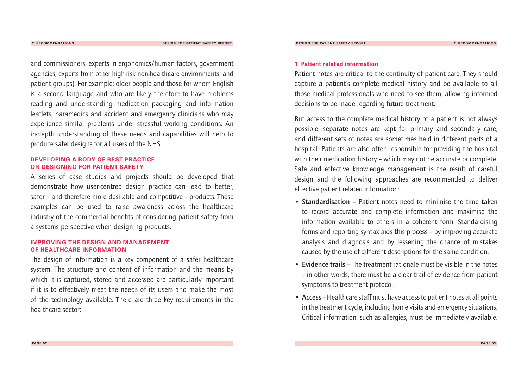and commissioners, experts in ergonomics/human factors, government agencies, experts from other high-risk non-healthcare environments, and patient groups). For example: older people and those for whom English is a second language and who are likely therefore to have problems reading and understanding medication packaging and information leaflets; paramedics and accident and emergency clinicians who may experience similar problems under stressful working conditions.An in-depth understanding of these needs and capabilities will help to produce safer designs for all users of the NHS.

#### **DEVELOPING A BODY OF BEST PRACTICE ON DESIGNING FOR PATIENT SAFETY**

A series of case studies and projects should be developed that demonstrate how user-centred design practice can lead to better, safer – and therefore more desirable and competitive – products. These examples can be used to raise awareness across the healthcare industry of the commercial benefits of considering patient safety from a systems perspective when designing products.

#### **IMPROVING THE DESIGN AND MANAGEMENT OF HEALTHCARE INFORMATION**

The design of information is a key component of a safer healthcare system.The structure and content of information and the means by which it is captured, stored and accessed are particularly important if it is to effectively meet the needs of its users and make the most of the technology available.There are three key requirements in the healthcare sector:

#### **1 Patient related information**

Patient notes are critical to the continuity of patient care. They should capture a patient's complete medical history and be available to all those medical professionals who need to see them, allowing informed decisions to be made regarding future treatment.

But access to the complete medical history of a patient is not always possible: separate notes are kept for primary and secondary care, and different sets of notes are sometimes held in different parts of a hospital. Patients are also often responsible for providing the hospital with their medication history – which may not be accurate or complete. Safe and effective knowledge management is the result of careful design and the following approaches are recommended to deliver effective patient related information:

- **Standardisation –** Patient notes need to minimise the time taken to record accurate and complete information and maximise the information available to others in a coherent form. Standardising forms and reporting syntax aids this process – by improving accurate analysis and diagnosis and by lessening the chance of mistakes caused by the use of different descriptions for the same condition.
- **Evidence trails –** The treatment rationale must be visible in the notes – in other words, there must be a clear trail of evidence from patient symptoms to treatment protocol.
- **Access –**Healthcare staff must have access to patient notes at all points in the treatment cycle, including home visits and emergency situations. Critical information, such as allergies, must be immediately available.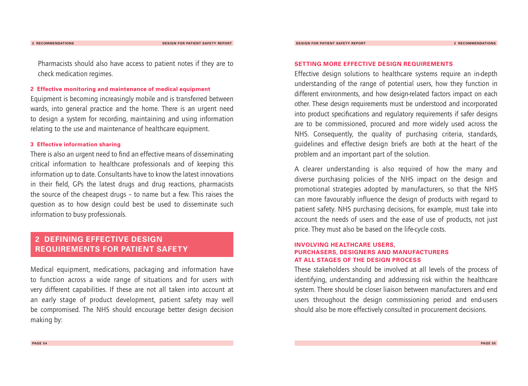**2 RECOMMENDATIONS DESIGN FOR PATIENT SAFETY REPORT**

**DESIGN FOR PATIENT SAFETY REPORT 2 RECOMMENDATIONS**

### Pharmacists should also have access to patient notes if they are to check medication regimes.

#### **2 Effective monitoring and maintenance of medical equipment**

Equipment is becoming increasingly mobile and is transferred between wards, into general practice and the home. There is an urgent need to design a system for recording, maintaining and using information relating to the use and maintenance of healthcare equipment.

#### **3 Effective information sharing**

There is also an urgent need to find an effective means of disseminating critical information to healthcare professionals and of keeping this information up to date. Consultants have to know the latest innovations in their field, GPs the latest drugs and drug reactions, pharmacists the source of the cheapest drugs – to name but a few.This raises the question as to how design could best be used to disseminate such information to busy professionals.

## **2 DEFINING EFFECTIVE DESIGN REQUIREMENTS FOR PATIENT SAFETY**

Medical equipment, medications, packaging and information have to function across a wide range of situations and for users with very different capabilities. If these are not all taken into account at an early stage of product development, patient safety may well be compromised. The NHS should encourage better design decision making by:

#### **SETTING MORE EFFECTIVE DESIGN REQUIREMENTS**

Effective design solutions to healthcare systems require an in-depth understanding of the range of potential users, how they function in different environments, and how design-related factors impact on each other.These design requirements must be understood and incorporated into product specifications and regulatory requirements if safer designs are to be commissioned, procured and more widely used across the NHS. Consequently, the quality of purchasing criteria, standards, guidelines and effective design briefs are both at the heart of the problem and an important part of the solution.

A clearer understanding is also required of how the many and diverse purchasing policies of the NHS impact on the design and promotional strategies adopted by manufacturers, so that the NHS can more favourably influence the design of products with regard to patient safety. NHS purchasing decisions, for example, must take into account the needs of users and the ease of use of products, not just price.They must also be based on the life-cycle costs.

#### **INVOLVING HEALTHCARE USERS, PURCHASERS, DESIGNERS AND MANUFACTURERS AT ALL STAGES OF THE DESIGN PROCESS**

These stakeholders should be involved at all levels of the process of identifying, understanding and addressing risk within the healthcare system.There should be closer liaison between manufacturers and end users throughout the design commissioning period and end-users should also be more effectively consulted in procurement decisions.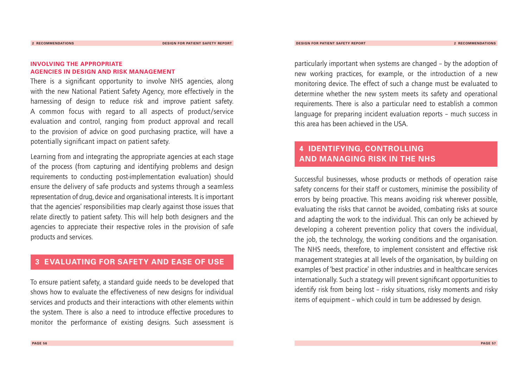#### **INVOLVING THE APPROPRIATE AGENCIES IN DESIGN AND RISK MANAGEMENT**

There is a significant opportunity to involve NHS agencies, along with the new National Patient Safety Agency, more effectively in the harnessing of design to reduce risk and improve patient safety. A common focus with regard to all aspects of product/service evaluation and control, ranging from product approval and recall to the provision of advice on good purchasing practice, will have a potentially significant impact on patient safety.

Learning from and integrating the appropriate agencies at each stage of the process (from capturing and identifying problems and design requirements to conducting post-implementation evaluation) should ensure the delivery of safe products and systems through a seamless representation of drug, device and organisational interests. It is important that the agencies' responsibilities map clearly against those issues that relate directly to patient safety.This will help both designers and the agencies to appreciate their respective roles in the provision of safe products and services.

### **3 EVALUATING FOR SAFETY AND EASE OF USE**

To ensure patient safety, a standard guide needs to be developed that shows how to evaluate the effectiveness of new designs for individual services and products and their interactions with other elements within the system.There is also a need to introduce effective procedures to monitor the performance of existing designs. Such assessment is

particularly important when systems are changed – by the adoption of new working practices, for example, or the introduction of a new monitoring device.The effect of such a change must be evaluated to determine whether the new system meets its safety and operational requirements.There is also a particular need to establish a common language for preparing incident evaluation reports – much success in this area has been achieved in the USA.

## **4 IDENTIFYING, CONTROLLING AND MANAGING RISK IN THE NHS**

Successful businesses, whose products or methods of operation raise safety concerns for their staff or customers, minimise the possibility of errors by being proactive. This means avoiding risk wherever possible, evaluating the risks that cannot be avoided, combating risks at source and adapting the work to the individual.This can only be achieved by developing a coherent prevention policy that covers the individual, the job, the technology, the working conditions and the organisation. The NHS needs, therefore, to implement consistent and effective risk management strategies at all levels of the organisation, by building on examples of 'best practice' in other industries and in healthcare services internationally. Such a strategy will prevent significant opportunities to identify risk from being lost – risky situations, risky moments and risky items of equipment – which could in turn be addressed by design.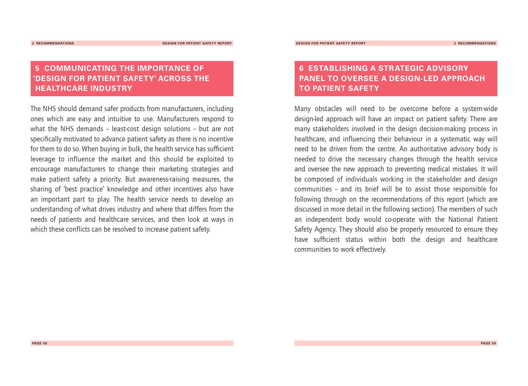## **5 COMMUNICATING THE IMPORTANCE OF 'DESIGN FOR PATIENT SAFETY' ACROSS THE HEALTHCARE INDUSTRY**

The NHS should demand safer products from manufacturers, including ones which are easy and intuitive to use. Manufacturers respond to what the NHS demands – least-cost design solutions – but are not specifically motivated to advance patient safety as there is no incentive for them to do so.When buying in bulk, the health service has sufficient leverage to influence the market and this should be exploited to encourage manufacturers to change their marketing strategies and make patient safety a priority. But awareness-raising measures, the sharing of 'best practice' knowledge and other incentives also have an important part to play. The health service needs to develop an understanding of what drives industry and where that differs from the needs of patients and healthcare services, and then look at ways in which these conflicts can be resolved to increase patient safety.

## **6 ESTABLISHING A STRATEGIC ADVISORY PANEL TO OVERSEE A DESIGN-LED APPROACH TO PATIENT SAFETY**

Many obstacles will need to be overcome before a system-wide design-led approach will have an impact on patient safety.There are many stakeholders involved in the design decision-making process in healthcare, and influencing their behaviour in a systematic way will need to be driven from the centre. An authoritative advisory body is needed to drive the necessary changes through the health service and oversee the new approach to preventing medical mistakes. It will be composed of individuals working in the stakeholder and design communities – and its brief will be to assist those responsible for following through on the recommendations of this report (which are discussed in more detail in the following section).The members of such an independent body would co-operate with the National Patient Safety Agency. They should also be properly resourced to ensure they have sufficient status within both the design and healthcare communities to work effectively.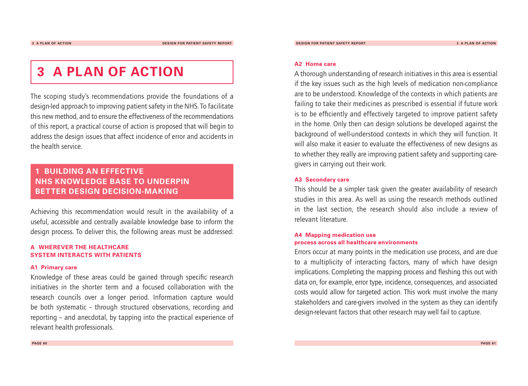## **3 A PLAN OF ACTION**

The scoping study's recommendations provide the foundations of a design-led approach to improving patient safety in the NHS.To facilitate this new method, and to ensure the effectiveness of the recommendations of this report, a practical course of action is proposed that will begin to address the design issues that affect incidence of error and accidents in the health service.

## **1 BUILDING AN EFFECTIVE NHS KNOWLEDGE BASE TO UNDERPIN BETTER DESIGN DECISION-MAKING**

Achieving this recommendation would result in the availability of a useful, accessible and centrally available knowledge base to inform the design process.To deliver this, the following areas must be addressed:

#### **A WHEREVER THE HEALTHCARE SYSTEM INTERACTS WITH PATIENTS**

#### **A1 Primary care**

Knowledge of these areas could be gained through specific research initiatives in the shorter term and a focused collaboration with the research councils over a longer period. Information capture would be both systematic – through structured observations, recording and reporting – and anecdotal, by tapping into the practical experience of relevant health professionals.

#### **A2 Home care**

A thorough understanding of research initiatives in this area is essential if the key issues such as the high levels of medication non-compliance are to be understood. Knowledge of the contexts in which patients are failing to take their medicines as prescribed is essential if future work is to be efficiently and effectively targeted to improve patient safety in the home. Only then can design solutions be developed against the background of well-understood contexts in which they will function. It will also make it easier to evaluate the effectiveness of new designs as to whether they really are improving patient safety and supporting caregivers in carrying out their work.

#### **A3 Secondary care**

This should be a simpler task given the greater availability of research studies in this area. As well as using the research methods outlined in the last section, the research should also include a review of relevant literature.

#### **A4 Mapping medication use process across all healthcare environments**

Errors occur at many points in the medication use process, and are due to a multiplicity of interacting factors, many of which have design implications. Completing the mapping process and fleshing this out with data on, for example, error type, incidence, consequences, and associated costs would allow for targeted action.This work must involve the many stakeholders and care-givers involved in the system as they can identify design-relevant factors that other research may well fail to capture.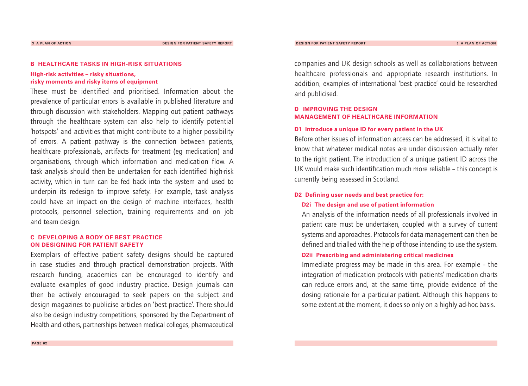#### **B HEALTHCARE TASKS IN HIGH-RISK SITUATIONS**

#### **High-risk activities – risky situations, risky moments and risky items of equipment**

These must be identified and prioritised. Information about the prevalence of particular errors is available in published literature and through discussion with stakeholders. Mapping out patient pathways through the healthcare system can also help to identify potential 'hotspots' and activities that might contribute to a higher possibility of errors. A patient pathway is the connection between patients, healthcare professionals, artifacts for treatment (eg medication) and organisations, through which information and medication flow.A task analysis should then be undertaken for each identified high-risk activity, which in turn can be fed back into the system and used to underpin its redesign to improve safety. For example, task analysis could have an impact on the design of machine interfaces, health protocols, personnel selection, training requirements and on job and team design.

#### **C DEVELOPING A BODY OF BEST PRACTICE ON DESIGNING FOR PATIENT SAFETY**

Exemplars of effective patient safety designs should be captured in case studies and through practical demonstration projects.With research funding, academics can be encouraged to identify and evaluate examples of good industry practice. Design journals can then be actively encouraged to seek papers on the subject and design magazines to publicise articles on 'best practice'.There should also be design industry competitions, sponsored by the Department of Health and others, partnerships between medical colleges, pharmaceutical

companies and UK design schools as well as collaborations between healthcare professionals and appropriate research institutions. In addition, examples of international 'best practice' could be researched and publicised.

#### **D IMPROVING THE DESIGN MANAGEMENT OF HEALTHCARE INFORMATION**

#### **D1 Introduce a unique ID for every patient in the UK**

Before other issues of information access can be addressed, it is vital to know that whatever medical notes are under discussion actually refer to the right patient.The introduction of a unique patient ID across the UK would make such identification much more reliable – this concept is currently being assessed in Scotland.

#### **D2 Defining user needs and best practice for:**

#### **D2i The design and use of patient information**

An analysis of the information needs of all professionals involved in patient care must be undertaken, coupled with a survey of current systems and approaches. Protocols for data management can then be defined and trialled with the help of those intending to use the system.

#### **D2ii Prescribing and administering critical medicines**

Immediate progress may be made in this area. For example – the integration of medication protocols with patients' medication charts can reduce errors and, at the same time, provide evidence of the dosing rationale for a particular patient. Although this happens to some extent at the moment, it does so only on a highly ad-hoc basis.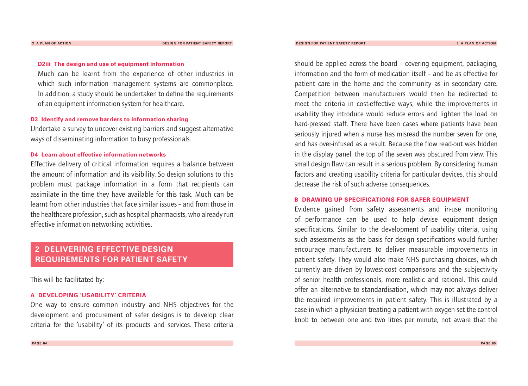#### **D2iii The design and use of equipment information**

Much can be learnt from the experience of other industries in which such information management systems are commonplace. In addition, a study should be undertaken to define the requirements of an equipment information system for healthcare.

#### **D3 Identify and remove barriers to information sharing**

Undertake a survey to uncover existing barriers and suggest alternative ways of disseminating information to busy professionals.

#### **D4 Learn about effective information networks**

Effective delivery of critical information requires a balance between the amount of information and its visibility. So design solutions to this problem must package information in a form that recipients can assimilate in the time they have available for this task. Much can be learnt from other industries that face similar issues – and from those in the healthcare profession, such as hospital pharmacists, who already run effective information networking activities.

### **2 DELIVERING EFFECTIVE DESIGN REQUIREMENTS FOR PATIENT SAFETY**

This will be facilitated by:

#### **A DEVELOPING 'USABILITY' CRITERIA**

One way to ensure common industry and NHS objectives for the development and procurement of safer designs is to develop clear criteria for the 'usability' of its products and services.These criteria

should be applied across the board – covering equipment, packaging, information and the form of medication itself – and be as effective for patient care in the home and the community as in secondary care. Competition between manufacturers would then be redirected to meet the criteria in cost-effective ways, while the improvements in usability they introduce would reduce errors and lighten the load on hard-pressed staff. There have been cases where patients have been seriously injured when a nurse has misread the number seven for one, and has over-infused as a result. Because the flow read-out was hidden in the display panel, the top of the seven was obscured from view.This small design flaw can result in a serious problem. By considering human factors and creating usability criteria for particular devices, this should decrease the risk of such adverse consequences.

#### **B DRAWING UP SPECIFICATIONS FOR SAFER EQUIPMENT**

Evidence gained from safety assessments and in-use monitoring of performance can be used to help devise equipment design specifications. Similar to the development of usability criteria, using such assessments as the basis for design specifications would further encourage manufacturers to deliver measurable improvements in patient safety. They would also make NHS purchasing choices, which currently are driven by lowest-cost comparisons and the subjectivity of senior health professionals, more realistic and rational.This could offer an alternative to standardisation, which may not always deliver the required improvements in patient safety.This is illustrated by a case in which a physician treating a patient with oxygen set the control knob to between one and two litres per minute, not aware that the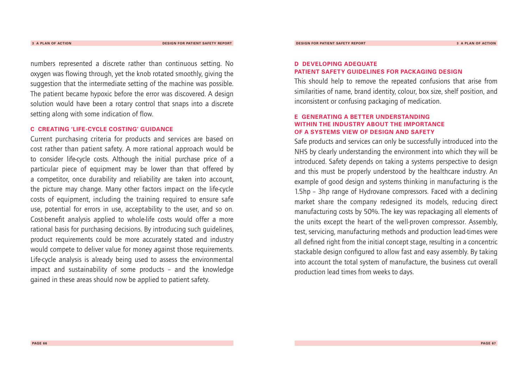numbers represented a discrete rather than continuous setting. No oxygen was flowing through, yet the knob rotated smoothly, giving the suggestion that the intermediate setting of the machine was possible. The patient became hypoxic before the error was discovered. A design solution would have been a rotary control that snaps into a discrete setting along with some indication of flow.

#### **C CREATING 'LIFE-CYCLE COSTING' GUIDANCE**

Current purchasing criteria for products and services are based on cost rather than patient safety. A more rational approach would be to consider life-cycle costs.Although the initial purchase price of a particular piece of equipment may be lower than that offered by a competitor, once durability and reliability are taken into account, the picture may change. Many other factors impact on the life-cycle costs of equipment, including the training required to ensure safe use, potential for errors in use, acceptability to the user, and so on. Cost-benefit analysis applied to whole-life costs would offer a more rational basis for purchasing decisions. By introducing such guidelines, product requirements could be more accurately stated and industry would compete to deliver value for money against those requirements. Life-cycle analysis is already being used to assess the environmental impact and sustainability of some products – and the knowledge gained in these areas should now be applied to patient safety.

#### **D DEVELOPING ADEQUATE PATIENT SAFETY GUIDELINES FOR PACKAGING DESIGN**

**DESIGN FOR PATIENT SAFETY REPORT**

This should help to remove the repeated confusions that arise from similarities of name, brand identity, colour, box size, shelf position, and inconsistent or confusing packaging of medication.

#### **E GENERATING A BETTER UNDERSTANDING WITHIN THE INDUSTRY ABOUT THE IMPORTANCE OF A SYSTEMS VIEW OF DESIGN AND SAFETY**

Safe products and services can only be successfully introduced into the NHS by clearly understanding the environment into which they will be introduced. Safety depends on taking a systems perspective to design and this must be properly understood by the healthcare industry. An example of good design and systems thinking in manufacturing is the 1.5hp – 3hp range of Hydrovane compressors. Faced with a declining market share the company redesigned its models, reducing direct manufacturing costs by 50%.The key was repackaging all elements of the units except the heart of the well-proven compressor. Assembly, test, servicing, manufacturing methods and production lead-times were all defined right from the initial concept stage, resulting in a concentric stackable design configured to allow fast and easy assembly. By taking into account the total system of manufacture, the business cut overall production lead times from weeks to days.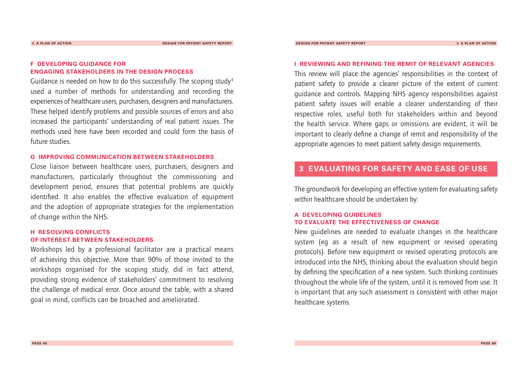#### **F DEVELOPING GUIDANCE FOR ENGAGING STAKEHOLDERS IN THE DESIGN PROCESS**

Guidance is needed on how to do this successfully.The scoping study**<sup>1</sup>** used a number of methods for understanding and recording the experiences of healthcare users, purchasers, designers and manufacturers. These helped identify problems and possible sources of errors and also increased the participants' understanding of real patient issues.The methods used here have been recorded and could form the basis of future studies.

#### **G IMPROVING COMMUNICATION BETWEEN STAKEHOLDERS**

Close liaison between healthcare users, purchasers, designers and manufacturers, particularly throughout the commissioning and development period, ensures that potential problems are quickly identified. It also enables the effective evaluation of equipment and the adoption of appropriate strategies for the implementation of change within the NHS.

#### **H RESOLVING CONFLICTS OF INTEREST BETWEEN STAKEHOLDERS**

Workshops led by a professional facilitator are a practical means of achieving this objective. More than 90% of those invited to the workshops organised for the scoping study, did in fact attend, providing strong evidence of stakeholders' commitment to resolving the challenge of medical error. Once around the table, with a shared goal in mind, conflicts can be broached and ameliorated.

#### **I REVIEWING AND REFINING THE REMIT OF RELEVANT AGENCIES**

This review will place the agencies' responsibilities in the context of patient safety to provide a clearer picture of the extent of current guidance and controls. Mapping NHS agency responsibilities against patient safety issues will enable a clearer understanding of their respective roles, useful both for stakeholders within and beyond the health service. Where gaps or omissions are evident, it will be important to clearly define a change of remit and responsibility of the appropriate agencies to meet patient safety design requirements.

## **3 EVALUATING FOR SAFETY AND EASE OF USE**

The groundwork for developing an effective system for evaluating safety within healthcare should be undertaken by:

#### **A DEVELOPING GUIDELINES TO EVALUATE THE EFFECTIVENESS OF CHANGE**

New guidelines are needed to evaluate changes in the healthcare system (eg as a result of new equipment or revised operating protocols). Before new equipment or revised operating protocols are introduced into the NHS, thinking about the evaluation should begin by defining the specification of a new system. Such thinking continues throughout the whole life of the system, until it is removed from use. It is important that any such assessment is consistent with other major healthcare systems.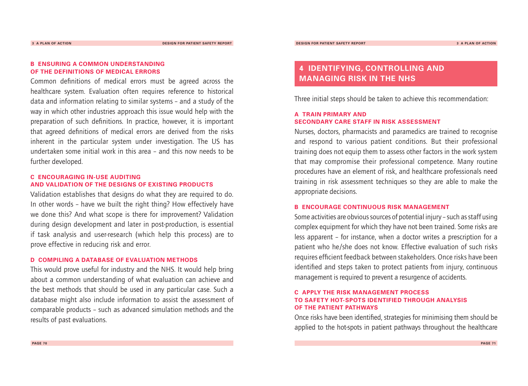#### **B ENSURING A COMMON UNDERSTANDING OF THE DEFINITIONS OF MEDICAL ERRORS**

Common definitions of medical errors must be agreed across the healthcare system. Evaluation often requires reference to historical data and information relating to similar systems – and a study of the way in which other industries approach this issue would help with the preparation of such definitions. In practice, however, it is important that agreed definitions of medical errors are derived from the risks inherent in the particular system under investigation. The US has undertaken some initial work in this area – and this now needs to be further developed.

#### **C ENCOURAGING IN-USE AUDITING AND VALIDATION OF THE DESIGNS OF EXISTING PRODUCTS**

Validation establishes that designs do what they are required to do. In other words – have we built the right thing? How effectively have we done this? And what scope is there for improvement? Validation during design development and later in post-production, is essential if task analysis and user-research (which help this process) are to prove effective in reducing risk and error.

#### **D COMPILING A DATABASE OF EVALUATION METHODS**

This would prove useful for industry and the NHS. It would help bring about a common understanding of what evaluation can achieve and the best methods that should be used in any particular case. Such a database might also include information to assist the assessment of comparable products – such as advanced simulation methods and the results of past evaluations.

## **4 IDENTIFYING, CONTROLLING AND MANAGING RISK IN THE NHS**

Three initial steps should be taken to achieve this recommendation:

#### **A TRAIN PRIMARY AND SECONDARY CARE STAFF IN RISK ASSESSMENT**

Nurses, doctors, pharmacists and paramedics are trained to recognise and respond to various patient conditions. But their professional training does not equip them to assess other factors in the work system that may compromise their professional competence. Many routine procedures have an element of risk, and healthcare professionals need training in risk assessment techniques so they are able to make the appropriate decisions.

#### **B ENCOURAGE CONTINUOUS RISK MANAGEMENT**

Some activities are obvious sources of potential injury – such as staff using complex equipment for which they have not been trained. Some risks are less apparent – for instance, when a doctor writes a prescription for a patient who he/she does not know. Effective evaluation of such risks requires efficient feedback between stakeholders. Once risks have been identified and steps taken to protect patients from injury, continuous management is required to prevent a resurgence of accidents.

#### **C APPLY THE RISK MANAGEMENT PROCESS TO SAFETY HOT-SPOTS IDENTIFIED THROUGH ANALYSIS OF THE PATIENT PATHWAYS**

Once risks have been identified, strategies for minimising them should be applied to the hot-spots in patient pathways throughout the healthcare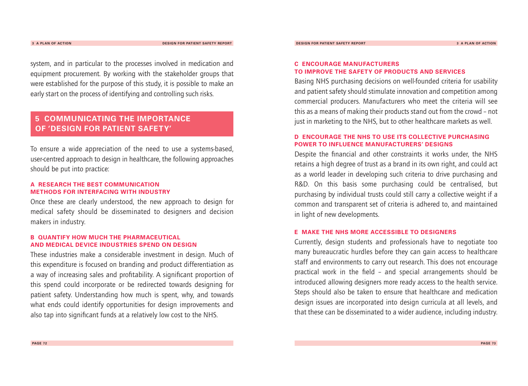system, and in particular to the processes involved in medication and equipment procurement. By working with the stakeholder groups that were established for the purpose of this study, it is possible to make an early start on the process of identifying and controlling such risks.

## **5 COMMUNICATING THE IMPORTANCE OF 'DESIGN FOR PATIENT SAFETY'**

To ensure a wide appreciation of the need to use a systems-based, user-centred approach to design in healthcare, the following approaches should be put into practice:

#### **A RESEARCH THE BEST COMMUNICATION METHODS FOR INTERFACING WITH INDUSTRY**

Once these are clearly understood, the new approach to design for medical safety should be disseminated to designers and decision makers in industry.

#### **B QUANTIFY HOW MUCH THE PHARMACEUTICAL AND MEDICAL DEVICE INDUSTRIES SPEND ON DESIGN**

These industries make a considerable investment in design. Much of this expenditure is focused on branding and product differentiation as a way of increasing sales and profitability. A significant proportion of this spend could incorporate or be redirected towards designing for patient safety. Understanding how much is spent, why, and towards what ends could identify opportunities for design improvements and also tap into significant funds at a relatively low cost to the NHS.

#### **C ENCOURAGE MANUFACTURERS TO IMPROVE THE SAFETY OF PRODUCTS AND SERVICES**

Basing NHS purchasing decisions on well-founded criteria for usability and patient safety should stimulate innovation and competition among commercial producers. Manufacturers who meet the criteria will see this as a means of making their products stand out from the crowd – not just in marketing to the NHS, but to other healthcare markets as well.

#### **D ENCOURAGE THE NHS TO USE ITS COLLECTIVE PURCHASING POWER TO INFLUENCE MANUFACTURERS' DESIGNS**

Despite the financial and other constraints it works under, the NHS retains a high degree of trust as a brand in its own right, and could act as a world leader in developing such criteria to drive purchasing and R&D. On this basis some purchasing could be centralised, but purchasing by individual trusts could still carry a collective weight if a common and transparent set of criteria is adhered to, and maintained in light of new developments.

#### **E MAKE THE NHS MORE ACCESSIBLE TO DESIGNERS**

Currently, design students and professionals have to negotiate too many bureaucratic hurdles before they can gain access to healthcare staff and environments to carry out research.This does not encourage practical work in the field – and special arrangements should be introduced allowing designers more ready access to the health service. Steps should also be taken to ensure that healthcare and medication design issues are incorporated into design curricula at all levels, and that these can be disseminated to a wider audience, including industry.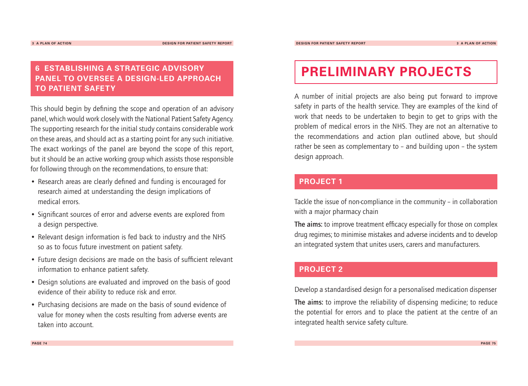## **6 ESTABLISHING A STRATEGIC ADVISORY PANEL TO OVERSEE A DESIGN-LED APPROACH TO PATIENT SAFETY**

This should begin by defining the scope and operation of an advisory panel, which would work closely with the National Patient Safety Agency. The supporting research for the initial study contains considerable work on these areas, and should act as a starting point for any such initiative. The exact workings of the panel are beyond the scope of this report, but it should be an active working group which assists those responsible for following through on the recommendations, to ensure that:

- Research areas are clearly defined and funding is encouraged for research aimed at understanding the design implications of medical errors.
- Significant sources of error and adverse events are explored from a design perspective.
- Relevant design information is fed back to industry and the NHS so as to focus future investment on patient safety.
- Future design decisions are made on the basis of sufficient relevant information to enhance patient safety.
- Design solutions are evaluated and improved on the basis of good evidence of their ability to reduce risk and error.
- Purchasing decisions are made on the basis of sound evidence of value for money when the costs resulting from adverse events are taken into account.

## **PRELIMINARY PROJECTS**

A number of initial projects are also being put forward to improve safety in parts of the health service. They are examples of the kind of work that needs to be undertaken to begin to get to grips with the problem of medical errors in the NHS.They are not an alternative to the recommendations and action plan outlined above, but should rather be seen as complementary to – and building upon – the system design approach.

### **PROJECT 1**

Tackle the issue of non-compliance in the community – in collaboration with a major pharmacy chain

**The aims:** to improve treatment efficacy especially for those on complex drug regimes; to minimise mistakes and adverse incidents and to develop an integrated system that unites users, carers and manufacturers.

### **PROJECT 2**

Develop a standardised design for a personalised medication dispenser

**The aims:** to improve the reliability of dispensing medicine; to reduce the potential for errors and to place the patient at the centre of an integrated health service safety culture.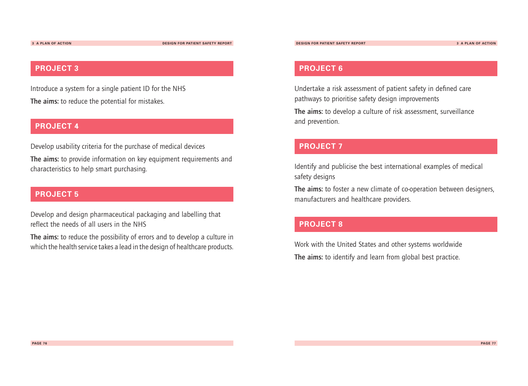**3 A PLAN OF ACTION DESIGN FOR PATIENT SAFETY REPORT**

### **PROJECT 3**

Introduce a system for a single patient ID for the NHS **The aims:** to reduce the potential for mistakes.

### **PROJECT 4**

Develop usability criteria for the purchase of medical devices

**The aims:** to provide information on key equipment requirements and characteristics to help smart purchasing.

### **PROJECT 5**

Develop and design pharmaceutical packaging and labelling that reflect the needs of all users in the NHS

**The aims:** to reduce the possibility of errors and to develop a culture in which the health service takes a lead in the design of healthcare products.

### **PROJECT 6**

Undertake a risk assessment of patient safety in defined care pathways to prioritise safety design improvements

**The aims:** to develop a culture of risk assessment, surveillance and prevention.

## **PROJECT 7**

Identify and publicise the best international examples of medical safety designs

**The aims:** to foster a new climate of co-operation between designers, manufacturers and healthcare providers.

## **PROJECT 8**

Work with the United States and other systems worldwide **The aims:** to identify and learn from global best practice.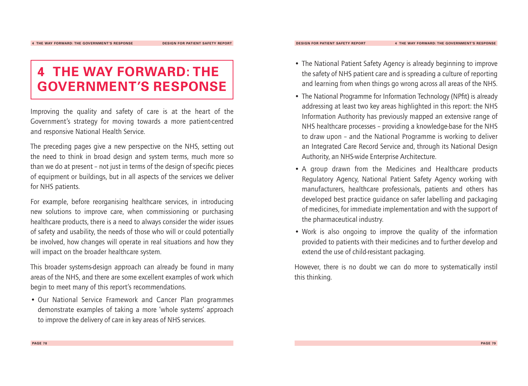## **4 THE WAY FORWARD: THE GOVERNMENT'S RESPONSE**

Improving the quality and safety of care is at the heart of the Government's strategy for moving towards a more patient-centred and responsive National Health Service.

The preceding pages give a new perspective on the NHS, setting out the need to think in broad design and system terms, much more so than we do at present – not just in terms of the design of specific pieces of equipment or buildings, but in all aspects of the services we deliver for NHS patients.

For example, before reorganising healthcare services, in introducing new solutions to improve care, when commissioning or purchasing healthcare products, there is a need to always consider the wider issues of safety and usability, the needs of those who will or could potentially be involved, how changes will operate in real situations and how they will impact on the broader healthcare system.

This broader systems-design approach can already be found in many areas of the NHS, and there are some excellent examples of work which begin to meet many of this report's recommendations.

• Our National Service Framework and Cancer Plan programmes demonstrate examples of taking a more 'whole systems' approach to improve the delivery of care in key areas of NHS services.

- The National Patient Safety Agency is already beginning to improve the safety of NHS patient care and is spreading a culture of reporting and learning from when things go wrong across all areas of the NHS.
- The National Programme for Information Technology (NPfit) is already addressing at least two key areas highlighted in this report: the NHS Information Authority has previously mapped an extensive range of NHS healthcare processes – providing a knowledge-base for the NHS to draw upon – and the National Programme is working to deliver an Integrated Care Record Service and, through its National Design Authority, an NHS-wide Enterprise Architecture.
- A group drawn from the Medicines and Healthcare products Regulatory Agency, National Patient Safety Agency working with manufacturers, healthcare professionals, patients and others has developed best practice guidance on safer labelling and packaging of medicines, for immediate implementation and with the support of the pharmaceutical industry.
- Work is also ongoing to improve the quality of the information provided to patients with their medicines and to further develop and extend the use of child-resistant packaging.

However, there is no doubt we can do more to systematically instil this thinking.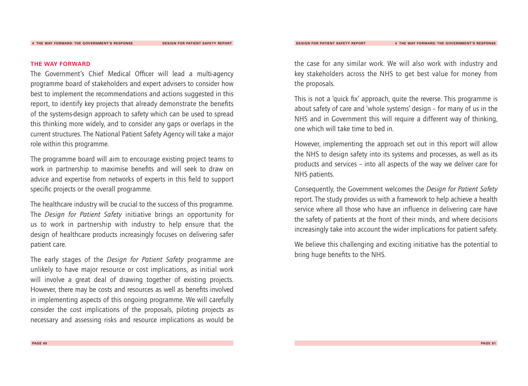#### **THE WAY FORWARD**

The Government's Chief Medical Officer will lead a multi-agency programme board of stakeholders and expert advisers to consider how best to implement the recommendations and actions suggested in this report, to identify key projects that already demonstrate the benefits of the systems-design approach to safety which can be used to spread this thinking more widely, and to consider any gaps or overlaps in the current structures.The National Patient Safety Agency will take a major role within this programme.

The programme board will aim to encourage existing project teams to work in partnership to maximise benefits and will seek to draw on advice and expertise from networks of experts in this field to support specific projects or the overall programme.

The healthcare industry will be crucial to the success of this programme. The *Design for Patient Safety* initiative brings an opportunity for us to work in partnership with industry to help ensure that the design of healthcare products increasingly focuses on delivering safer patient care.

The early stages of the *Design for Patient Safety* programme are unlikely to have major resource or cost implications, as initial work will involve a great deal of drawing together of existing projects. However, there may be costs and resources as well as benefits involved in implementing aspects of this ongoing programme. We will carefully consider the cost implications of the proposals, piloting projects as necessary and assessing risks and resource implications as would be

the case for any similar work.We will also work with industry and key stakeholders across the NHS to get best value for money from the proposals.

This is not a 'quick fix' approach, quite the reverse. This programme is about safety of care and 'whole systems' design – for many of us in the NHS and in Government this will require a different way of thinking, one which will take time to bed in.

However, implementing the approach set out in this report will allow the NHS to design safety into its systems and processes, as well as its products and services – into all aspects of the way we deliver care for NHS patients.

Consequently, the Government welcomes the *Design for Patient Safety* report.The study provides us with a framework to help achieve a health service where all those who have an influence in delivering care have the safety of patients at the front of their minds, and where decisions increasingly take into account the wider implications for patient safety.

We believe this challenging and exciting initiative has the potential to bring huge benefits to the NHS.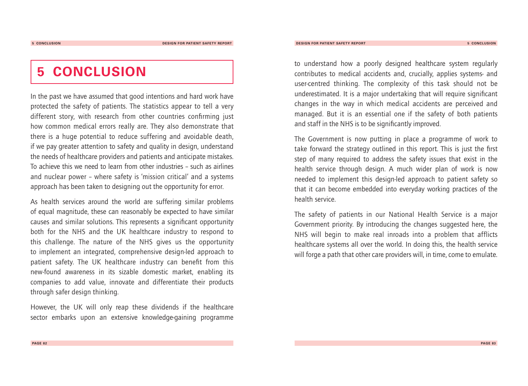## **5 CONCLUSION**

In the past we have assumed that good intentions and hard work have protected the safety of patients. The statistics appear to tell a very different story, with research from other countries confirming just how common medical errors really are. They also demonstrate that there is a huge potential to reduce suffering and avoidable death, if we pay greater attention to safety and quality in design, understand the needs of healthcare providers and patients and anticipate mistakes. To achieve this we need to learn from other industries – such as airlines and nuclear power – where safety is 'mission critical' and a systems approach has been taken to designing out the opportunity for error.

As health services around the world are suffering similar problems of equal magnitude, these can reasonably be expected to have similar causes and similar solutions.This represents a significant opportunity both for the NHS and the UK healthcare industry to respond to this challenge.The nature of the NHS gives us the opportunity to implement an integrated, comprehensive design-led approach to patient safety. The UK healthcare industry can benefit from this new-found awareness in its sizable domestic market, enabling its companies to add value, innovate and differentiate their products through safer design thinking.

However, the UK will only reap these dividends if the healthcare sector embarks upon an extensive knowledge-gaining programme to understand how a poorly designed healthcare system regularly contributes to medical accidents and, crucially, applies systems- and user-centred thinking. The complexity of this task should not be underestimated. It is a major undertaking that will require significant changes in the way in which medical accidents are perceived and managed. But it is an essential one if the safety of both patients and staff in the NHS is to be significantly improved.

The Government is now putting in place a programme of work to take forward the strategy outlined in this report.This is just the first step of many required to address the safety issues that exist in the health service through design. A much wider plan of work is now needed to implement this design-led approach to patient safety so that it can become embedded into everyday working practices of the health service.

The safety of patients in our National Health Service is a major Government priority. By introducing the changes suggested here, the NHS will begin to make real inroads into a problem that afflicts healthcare systems all over the world. In doing this, the health service will forge a path that other care providers will, in time, come to emulate.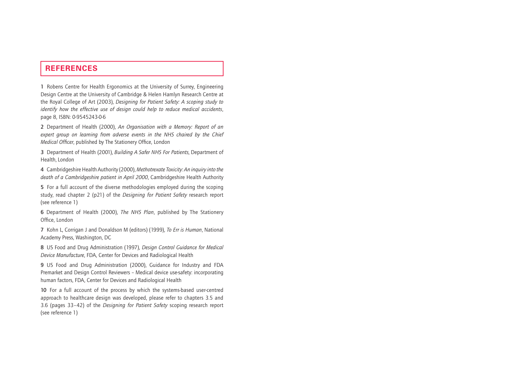### **REFERENCES**

**1** Robens Centre for Health Ergonomics at the University of Surrey, Engineering Design Centre at the University of Cambridge & Helen Hamlyn Research Centre at the Royal College of Art (2003), *Designing for Patient Safety: A scoping study to identify how the effective use of design could help to reduce medical accidents*, page 8, ISBN: 0-9545243-0-6

**2** Department of Health (2000), *An Organisation with a Memory: Report of an expert group on learning from adverse events in the NHS chaired by the Chief Medical Officer*, published by The Stationery Office, London

**3** Department of Health (2001), *Building A Safer NHS For Patients*, Department of Health, London

**4** Cambridgeshire Health Authority (2000), *Methotrexate Toxicity: An inquiry into the death of a Cambridgeshire patient in April 2000*, Cambridgeshire Health Authority

**5** For a full account of the diverse methodologies employed during the scoping study, read chapter 2 (p21) of the *Designing for Patient Safety* research report (see reference 1)

**6** Department of Health (2000), *The NHS Plan*, published by The Stationery Office, London

**7** Kohn L, Corrigan J and Donaldson M (editors) (1999), *To Err is Human*, National Academy Press, Washington, DC

**8** US Food and Drug Administration (1997), *Design Control Guidance for Medical Device Manufacture*, FDA, Center for Devices and Radiological Health

**9** US Food and Drug Administration (2000), Guidance for Industry and FDA Premarket and Design Control Reviewers – Medical device use-safety: incorporating human factors, FDA, Center for Devices and Radiological Health

**10** For a full account of the process by which the systems-based user-centred approach to healthcare design was developed, please refer to chapters 3.5 and 3.6 (pages 33–42) of the *Designing for Patient Safety* scoping research report (see reference 1)